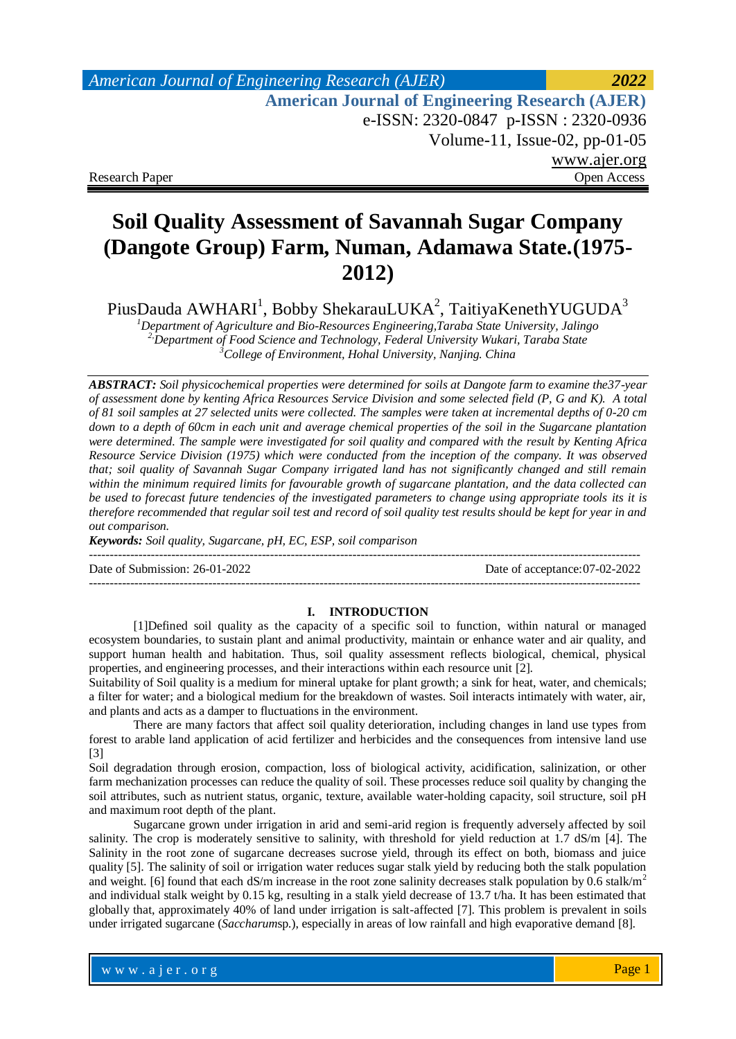## *American Journal of Engineering Research (AJER) 2022*  **American Journal of Engineering Research (AJER)** e-ISSN: 2320-0847 p-ISSN : 2320-0936 Volume-11, Issue-02, pp-01-05 www.ajer.org Research Paper **Open Access** Open Access **Open Access**

# **Soil Quality Assessment of Savannah Sugar Company (Dangote Group) Farm, Numan, Adamawa State.(1975- 2012)**

PiusDauda AWHARI<sup>1</sup>, Bobby ShekarauLUKA<sup>2</sup>, TaitiyaKenethYUGUDA<sup>3</sup>

*<sup>1</sup>Department of Agriculture and Bio-Resources Engineering,Taraba State University, Jalingo 2,Department of Food Science and Technology, Federal University Wukari, Taraba State <sup>3</sup>College of Environment, Hohal University, Nanjing. China*

*ABSTRACT: Soil physicochemical properties were determined for soils at Dangote farm to examine the37-year of assessment done by kenting Africa Resources Service Division and some selected field (P, G and K). A total of 81 soil samples at 27 selected units were collected. The samples were taken at incremental depths of 0-20 cm down to a depth of 60cm in each unit and average chemical properties of the soil in the Sugarcane plantation were determined. The sample were investigated for soil quality and compared with the result by Kenting Africa Resource Service Division (1975) which were conducted from the inception of the company. It was observed that; soil quality of Savannah Sugar Company irrigated land has not significantly changed and still remain within the minimum required limits for favourable growth of sugarcane plantation, and the data collected can be used to forecast future tendencies of the investigated parameters to change using appropriate tools its it is therefore recommended that regular soil test and record of soil quality test results should be kept for year in and out comparison.*

*Keywords: Soil quality, Sugarcane, pH, EC, ESP, soil comparison*

Date of Submission: 26-01-2022 Date of acceptance:07-02-2022

--------------------------------------------------------------------------------------------------------------------------------------

--------------------------------------------------------------------------------------------------------------------------------------

#### **I. INTRODUCTION**

[1]Defined soil quality as the capacity of a specific soil to function, within natural or managed ecosystem boundaries, to sustain plant and animal productivity, maintain or enhance water and air quality, and support human health and habitation. Thus, soil quality assessment reflects biological, chemical, physical properties, and engineering processes, and their interactions within each resource unit [2].

Suitability of Soil quality is a medium for mineral uptake for plant growth; a sink for heat, water, and chemicals; a filter for water; and a biological medium for the breakdown of wastes. Soil interacts intimately with water, air, and plants and acts as a damper to fluctuations in the environment.

There are many factors that affect soil quality deterioration, including changes in land use types from forest to arable land application of acid fertilizer and herbicides and the consequences from intensive land use [3]

Soil degradation through erosion, compaction, loss of biological activity, acidification, salinization, or other farm mechanization processes can reduce the quality of soil. These processes reduce soil quality by changing the soil attributes, such as nutrient status, organic, texture, available water-holding capacity, soil structure, soil pH and maximum root depth of the plant.

Sugarcane grown under irrigation in arid and semi-arid region is frequently adversely affected by soil salinity. The crop is moderately sensitive to salinity, with threshold for yield reduction at 1.7 dS/m [4]. The Salinity in the root zone of sugarcane decreases sucrose yield, through its effect on both, biomass and juice quality [5]. The salinity of soil or irrigation water reduces sugar stalk yield by reducing both the stalk population and weight. [6] found that each dS/m increase in the root zone salinity decreases stalk population by 0.6 stalk/m<sup>2</sup> and individual stalk weight by 0.15 kg, resulting in a stalk yield decrease of 13.7 t/ha. It has been estimated that globally that, approximately 40% of land under irrigation is salt-affected [7]. This problem is prevalent in soils under irrigated sugarcane (*Saccharum*sp*.*), especially in areas of low rainfall and high evaporative demand [8].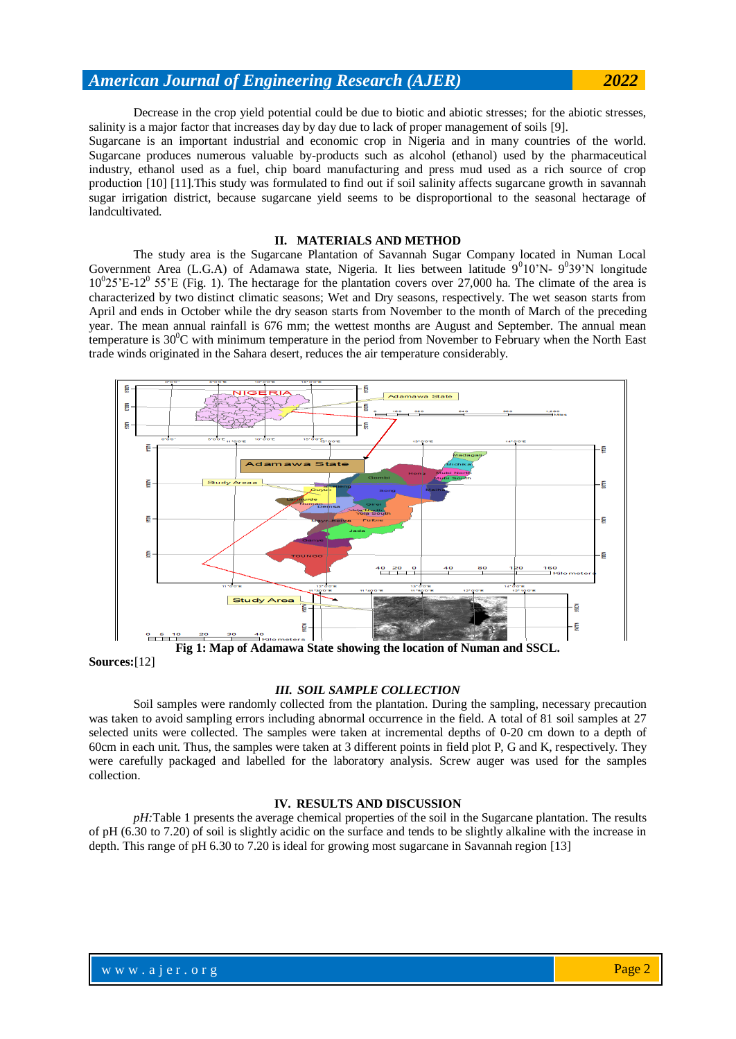Decrease in the crop yield potential could be due to biotic and abiotic stresses; for the abiotic stresses, salinity is a major factor that increases day by day due to lack of proper management of soils [9].

Sugarcane is an important industrial and economic crop in Nigeria and in many countries of the world. Sugarcane produces numerous valuable by-products such as alcohol (ethanol) used by the pharmaceutical industry, ethanol used as a fuel, chip board manufacturing and press mud used as a rich source of crop production [10] [11].This study was formulated to find out if soil salinity affects sugarcane growth in savannah sugar irrigation district, because sugarcane yield seems to be disproportional to the seasonal hectarage of landcultivated.

## **II. MATERIALS AND METHOD**

The study area is the Sugarcane Plantation of Savannah Sugar Company located in Numan Local Government Area (L.G.A) of Adamawa state, Nigeria. It lies between latitude  $9^010'N-9^039'N$  longitude  $10^025$ 'E-12<sup>0</sup> 55'E (Fig. 1). The hectarage for the plantation covers over 27,000 ha. The climate of the area is characterized by two distinct climatic seasons; Wet and Dry seasons, respectively. The wet season starts from April and ends in October while the dry season starts from November to the month of March of the preceding year. The mean annual rainfall is 676 mm; the wettest months are August and September. The annual mean temperature is 30<sup>0</sup>C with minimum temperature in the period from November to February when the North East trade winds originated in the Sahara desert, reduces the air temperature considerably.



**Sources:**[12]

#### *III. SOIL SAMPLE COLLECTION*

Soil samples were randomly collected from the plantation. During the sampling, necessary precaution was taken to avoid sampling errors including abnormal occurrence in the field. A total of 81 soil samples at 27 selected units were collected. The samples were taken at incremental depths of 0-20 cm down to a depth of 60cm in each unit. Thus, the samples were taken at 3 different points in field plot P, G and K, respectively. They were carefully packaged and labelled for the laboratory analysis. Screw auger was used for the samples collection.

#### **IV. RESULTS AND DISCUSSION**

*pH*:Table 1 presents the average chemical properties of the soil in the Sugarcane plantation. The results of pH (6.30 to 7.20) of soil is slightly acidic on the surface and tends to be slightly alkaline with the increase in depth. This range of pH 6.30 to 7.20 is ideal for growing most sugarcane in Savannah region [13]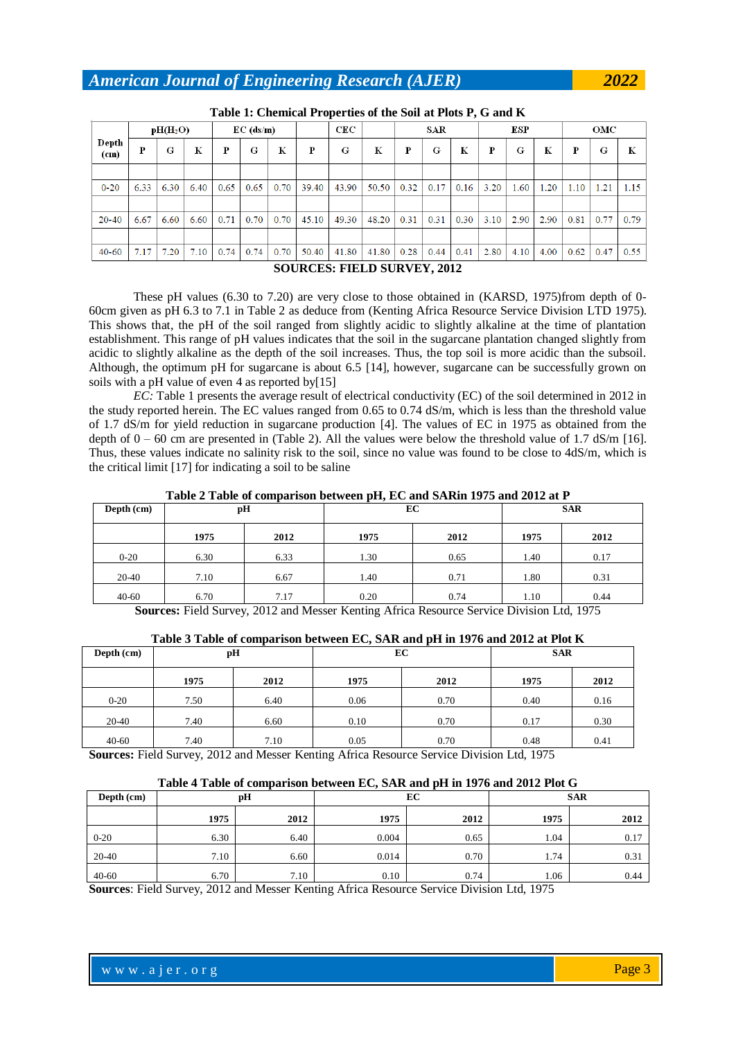| Tuble 11 Chemical 11 operator of the boll at 11010 14 G and 11 |                                               |      |             |      |      |      |       |       |             |      |      |      |      |      |      |      |      |      |
|----------------------------------------------------------------|-----------------------------------------------|------|-------------|------|------|------|-------|-------|-------------|------|------|------|------|------|------|------|------|------|
|                                                                | pH(H <sub>2</sub> O)                          |      | $EC$ (ds/m) |      |      | CEC  |       | SAR   |             | ESP  |      | ОМС  |      |      |      |      |      |      |
| Depth<br>(c <sub>m</sub> )                                     | Р                                             | G    | K           | P    | G    | К    | P     | G     | $\mathbf K$ | P    | G    | К    | Р    | G    | К    | P    | G    | K    |
|                                                                |                                               |      |             |      |      |      |       |       |             |      |      |      |      |      |      |      |      |      |
| $0 - 20$                                                       | 6.33                                          | 6.30 | 6.40        | 0.65 | 0.65 | 0.70 | 39.40 | 43.90 | 50.50       | 0.32 | 0.17 | 0.16 | 3.20 | 1.60 | 1.20 | 1.10 | 1.21 | 1.15 |
|                                                                |                                               |      |             |      |      |      |       |       |             |      |      |      |      |      |      |      |      |      |
| 20-40                                                          | 6.67                                          | 6.60 | 6.60        | 0.71 | 0.70 | 0.70 | 45.10 | 49.30 | 48.20       | 0.31 | 0.31 | 0.30 | 3.10 | 2.90 | 2.90 | 0.81 | 0.77 | 0.79 |
|                                                                |                                               |      |             |      |      |      |       |       |             |      |      |      |      |      |      |      |      |      |
| $40 - 60$                                                      | 7.17                                          | 7.20 | 7.10        | 0.74 | 0.74 | 0.70 | 50.40 | 41.80 | 41.80       | 0.28 | 0.44 | 0.41 | 2.80 | 4.10 | 4.00 | 0.62 | 0.47 | 0.55 |
|                                                                | $\alpha$ a the atom there is atomicided and a |      |             |      |      |      |       |       |             |      |      |      |      |      |      |      |      |      |

#### **SOURCES: FIELD SURVEY, 2012**

These pH values (6.30 to 7.20) are very close to those obtained in (KARSD, 1975)from depth of 0- 60cm given as pH 6.3 to 7.1 in Table 2 as deduce from (Kenting Africa Resource Service Division LTD 1975). This shows that, the pH of the soil ranged from slightly acidic to slightly alkaline at the time of plantation establishment. This range of pH values indicates that the soil in the sugarcane plantation changed slightly from acidic to slightly alkaline as the depth of the soil increases. Thus, the top soil is more acidic than the subsoil. Although, the optimum pH for sugarcane is about 6.5 [14], however, sugarcane can be successfully grown on soils with a pH value of even 4 as reported by[15]

*EC*: Table 1 presents the average result of electrical conductivity (EC) of the soil determined in 2012 in the study reported herein. The EC values ranged from 0.65 to 0.74 dS/m, which is less than the threshold value of 1.7 dS/m for yield reduction in sugarcane production [4]. The values of EC in 1975 as obtained from the depth of  $0 - 60$  cm are presented in (Table 2). All the values were below the threshold value of 1.7 dS/m [16]. Thus, these values indicate no salinity risk to the soil, since no value was found to be close to 4dS/m, which is the critical limit [17] for indicating a soil to be saline

**Table 2 Table of comparison between pH, EC and SARin 1975 and 2012 at P**

| Depth (cm) | pH   |      | EС   |      | <b>SAR</b> |      |  |
|------------|------|------|------|------|------------|------|--|
|            | 1975 | 2012 | 1975 | 2012 | 1975       | 2012 |  |
| $0 - 20$   | 6.30 | 6.33 | 1.30 | 0.65 | 1.40       | 0.17 |  |
| 20-40      | 7.10 | 6.67 | 1.40 | 0.71 | 1.80       | 0.31 |  |
| $40 - 60$  | 6.70 | 7.17 | 0.20 | 0.74 | 1.10       | 0.44 |  |

**Sources:** Field Survey, 2012 and Messer Kenting Africa Resource Service Division Ltd, 1975

| Depth (cm)          |      | pН   |      | EС   | <b>SAR</b> |      |  |
|---------------------|------|------|------|------|------------|------|--|
|                     | 1975 | 2012 | 1975 | 2012 | 1975       | 2012 |  |
| $0 - 20$            | 7.50 | 6.40 | 0.06 | 0.70 | 0.40       | 0.16 |  |
| 20-40               | 7.40 | 6.60 | 0.10 | 0.70 | 0.17       | 0.30 |  |
| $40 - 60$<br>$\sim$ | 7.40 | 7.10 | 0.05 | 0.70 | 0.48       | 0.41 |  |

**Table 3 Table of comparison between EC, SAR and pH in 1976 and 2012 at Plot K**

**Sources:** Field Survey, 2012 and Messer Kenting Africa Resource Service Division Ltd, 1975

#### **Table 4 Table of comparison between EC, SAR and pH in 1976 and 2012 Plot G**

| Depth (cm) |      | pH   |       | EC   | <b>SAR</b> |      |  |  |
|------------|------|------|-------|------|------------|------|--|--|
|            | 1975 | 2012 | 1975  | 2012 | 1975       | 2012 |  |  |
| $0 - 20$   | 6.30 | 6.40 | 0.004 | 0.65 | 1.04       | 0.17 |  |  |
| 20-40      | 7.10 | 6.60 | 0.014 | 0.70 | 1.74       | 0.31 |  |  |
| $40 - 60$  | 6.70 | 7.10 | 0.10  | 0.74 | 1.06       | 0.44 |  |  |

**Sources**: Field Survey, 2012 and Messer Kenting Africa Resource Service Division Ltd, 1975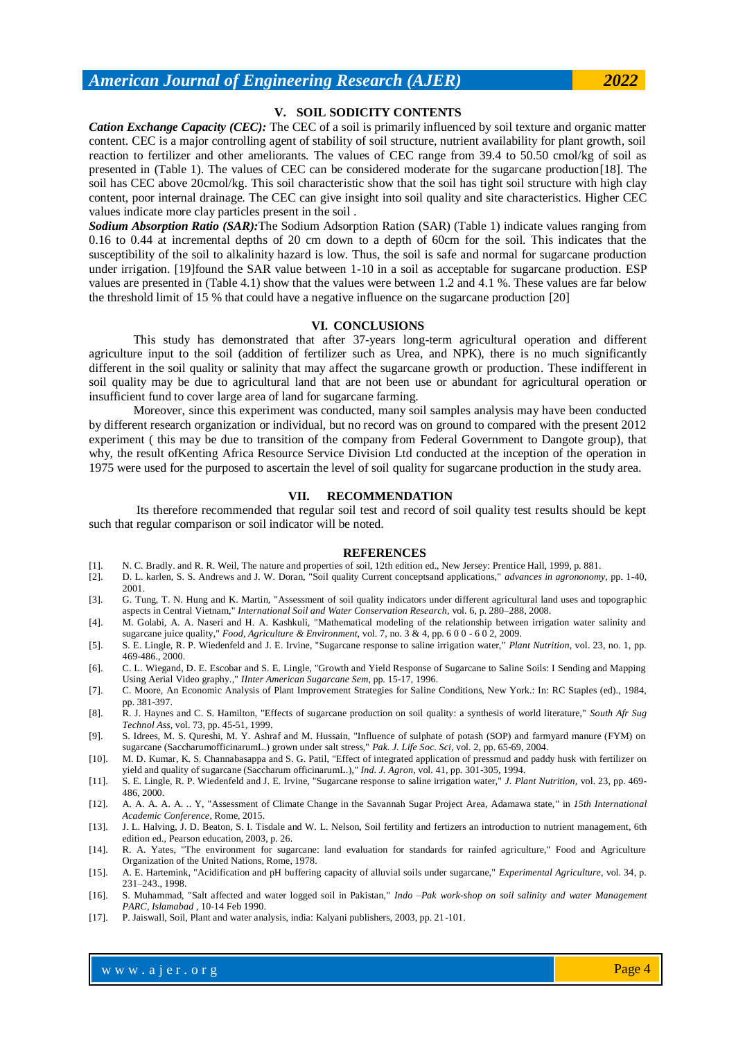**V. SOIL SODICITY CONTENTS**

*Cation Exchange Capacity (CEC):* The CEC of a soil is primarily influenced by soil texture and organic matter content. CEC is a major controlling agent of stability of soil structure, nutrient availability for plant growth, soil reaction to fertilizer and other ameliorants. The values of CEC range from 39.4 to 50.50 cmol/kg of soil as presented in (Table 1). The values of CEC can be considered moderate for the sugarcane production[18]. The soil has CEC above 20cmol/kg. This soil characteristic show that the soil has tight soil structure with high clay content, poor internal drainage. The CEC can give insight into soil quality and site characteristics. Higher CEC values indicate more clay particles present in the soil .

*Sodium Absorption Ratio (SAR):*The Sodium Adsorption Ration (SAR) (Table 1) indicate values ranging from 0.16 to 0.44 at incremental depths of 20 cm down to a depth of 60cm for the soil. This indicates that the susceptibility of the soil to alkalinity hazard is low. Thus, the soil is safe and normal for sugarcane production under irrigation. [19]found the SAR value between 1-10 in a soil as acceptable for sugarcane production. ESP values are presented in (Table 4.1) show that the values were between 1.2 and 4.1 %. These values are far below the threshold limit of 15 % that could have a negative influence on the sugarcane production [20]

#### **VI. CONCLUSIONS**

This study has demonstrated that after 37-years long-term agricultural operation and different agriculture input to the soil (addition of fertilizer such as Urea, and NPK), there is no much significantly different in the soil quality or salinity that may affect the sugarcane growth or production. These indifferent in soil quality may be due to agricultural land that are not been use or abundant for agricultural operation or insufficient fund to cover large area of land for sugarcane farming.

Moreover, since this experiment was conducted, many soil samples analysis may have been conducted by different research organization or individual, but no record was on ground to compared with the present 2012 experiment ( this may be due to transition of the company from Federal Government to Dangote group), that why, the result ofKenting Africa Resource Service Division Ltd conducted at the inception of the operation in 1975 were used for the purposed to ascertain the level of soil quality for sugarcane production in the study area.

#### **VII. RECOMMENDATION**

Its therefore recommended that regular soil test and record of soil quality test results should be kept such that regular comparison or soil indicator will be noted.

#### **REFERENCES**

- [1]. N. C. Bradly. and R. R. Weil, The nature and properties of soil, 12th edition ed., New Jersey: Prentice Hall, 1999, p. 881.
- [2]. D. L. karlen, S. S. Andrews and J. W. Doran, "Soil quality Current conceptsand applications," *advances in agrononomy,* pp. 1-40, 2001. [3]. G. Tung, T. N. Hung and K. Martin, "Assessment of soil quality indicators under different agricultural land uses and topographic
- aspects in Central Vietnam," *International Soil and Water Conservation Research,* vol. 6, p. 280–288, 2008.
- [4]. M. Golabi, A. A. Naseri and H. A. Kashkuli, "Mathematical modeling of the relationship between irrigation water salinity and sugarcane juice quality," *Food, Agriculture & Environment,* vol. 7, no. 3 & 4, pp. 6 0 0 - 6 0 2, 2009.
- [5]. S. E. Lingle, R. P. Wiedenfeld and J. E. Irvine, "Sugarcane response to saline irrigation water," *Plant Nutrition,* vol. 23, no. 1, pp. 469-486., 2000.
- [6]. C. L. Wiegand, D. E. Escobar and S. E. Lingle, "Growth and Yield Response of Sugarcane to Saline Soils: I Sending and Mapping Using Aerial Video graphy.," *IInter American Sugarcane Sem,* pp. 15-17, 1996.
- [7]. C. Moore, An Economic Analysis of Plant Improvement Strategies for Saline Conditions, New York.: In: RC Staples (ed)., 1984, pp. 381-397.
- [8]. R. J. Haynes and C. S. Hamilton, "Effects of sugarcane production on soil quality: a synthesis of world literature," *South Afr Sug Technol Ass,* vol. 73, pp. 45-51, 1999.
- [9]. S. Idrees, M. S. Qureshi, M. Y. Ashraf and M. Hussain, "Influence of sulphate of potash (SOP) and farmyard manure (FYM) on sugarcane (SaccharumofficinarumL.) grown under salt stress," *Pak. J. Life Soc. Sci,* vol. 2, pp. 65-69, 2004.
- [10]. M. D. Kumar, K. S. Channabasappa and S. G. Patil, "Effect of integrated application of pressmud and paddy husk with fertilizer on yield and quality of sugarcane (Saccharum officinarumL.)," *Ind. J. Agron,* vol. 41, pp. 301-305, 1994.
- [11]. S. E. Lingle, R. P. Wiedenfeld and J. E. Irvine, "Sugarcane response to saline irrigation water," *J. Plant Nutrition,* vol. 23, pp. 469- 486, 2000.
- [12]. A. A. A. A. A. .. Y, "Assessment of Climate Change in the Savannah Sugar Project Area, Adamawa state," in *15th International Academic Conference*, Rome, 2015.
- [13]. J. L. Halving, J. D. Beaton, S. I. Tisdale and W. L. Nelson, Soil fertility and fertizers an introduction to nutrient management, 6th edition ed., Pearson education, 2003, p. 26.
- [14]. R. A. Yates, "The environment for sugarcane: land evaluation for standards for rainfed agriculture," Food and Agriculture Organization of the United Nations, Rome, 1978.
- [15]. A. E. Hartemink, "Acidification and pH buffering capacity of alluvial soils under sugarcane," *Experimental Agriculture,* vol. 34, p. 231–243., 1998.
- [16]. S. Muhammad, "Salt affected and water logged soil in Pakistan," *Indo –Pak work-shop on soil salinity and water Management PARC, Islamabad ,* 10-14 Feb 1990.
- [17]. P. Jaiswall, Soil, Plant and water analysis, india: Kalyani publishers, 2003, pp. 21-101.